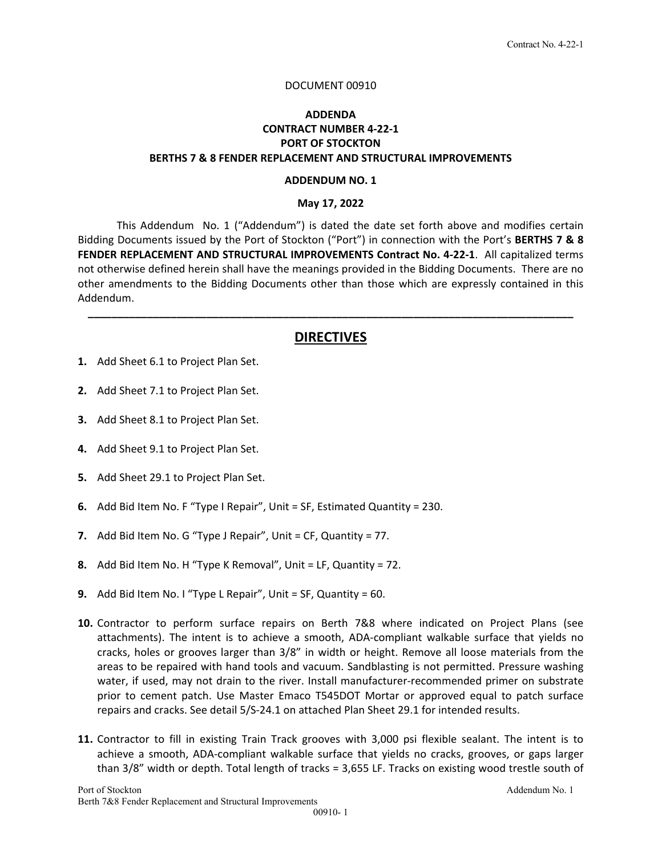#### DOCUMENT 00910

### **ADDENDA CONTRACT NUMBER 4‐22‐1 PORT OF STOCKTON BERTHS 7 & 8 FENDER REPLACEMENT AND STRUCTURAL IMPROVEMENTS**

#### **ADDENDUM NO. 1**

#### **May 17, 2022**

This Addendum No. 1 ("Addendum") is dated the date set forth above and modifies certain Bidding Documents issued by the Port of Stockton ("Port") in connection with the Port's **BERTHS 7 & 8 FENDER REPLACEMENT AND STRUCTURAL IMPROVEMENTS Contract No. 4‐22‐1**. All capitalized terms not otherwise defined herein shall have the meanings provided in the Bidding Documents. There are no other amendments to the Bidding Documents other than those which are expressly contained in this Addendum.

## **DIRECTIVES**

**\_\_\_\_\_\_\_\_\_\_\_\_\_\_\_\_\_\_\_\_\_\_\_\_\_\_\_\_\_\_\_\_\_\_\_\_\_\_\_\_\_\_\_\_\_\_\_\_\_\_\_\_\_\_\_\_\_\_\_\_\_\_\_\_\_\_\_\_\_\_\_\_\_\_\_\_\_\_\_\_\_\_** 

- **1.** Add Sheet 6.1 to Project Plan Set.
- **2.** Add Sheet 7.1 to Project Plan Set.
- **3.** Add Sheet 8.1 to Project Plan Set.
- **4.** Add Sheet 9.1 to Project Plan Set.
- **5.** Add Sheet 29.1 to Project Plan Set.
- **6.** Add Bid Item No. F "Type I Repair", Unit = SF, Estimated Quantity = 230.
- **7.** Add Bid Item No. G "Type J Repair", Unit = CF, Quantity = 77.
- **8.** Add Bid Item No. H "Type K Removal", Unit = LF, Quantity = 72.
- **9.** Add Bid Item No. I "Type L Repair", Unit = SF, Quantity = 60.
- **10.** Contractor to perform surface repairs on Berth 7&8 where indicated on Project Plans (see attachments). The intent is to achieve a smooth, ADA‐compliant walkable surface that yields no cracks, holes or grooves larger than 3/8" in width or height. Remove all loose materials from the areas to be repaired with hand tools and vacuum. Sandblasting is not permitted. Pressure washing water, if used, may not drain to the river. Install manufacturer-recommended primer on substrate prior to cement patch. Use Master Emaco T545DOT Mortar or approved equal to patch surface repairs and cracks. See detail 5/S‐24.1 on attached Plan Sheet 29.1 for intended results.
- **11.** Contractor to fill in existing Train Track grooves with 3,000 psi flexible sealant. The intent is to achieve a smooth, ADA‐compliant walkable surface that yields no cracks, grooves, or gaps larger than 3/8" width or depth. Total length of tracks = 3,655 LF. Tracks on existing wood trestle south of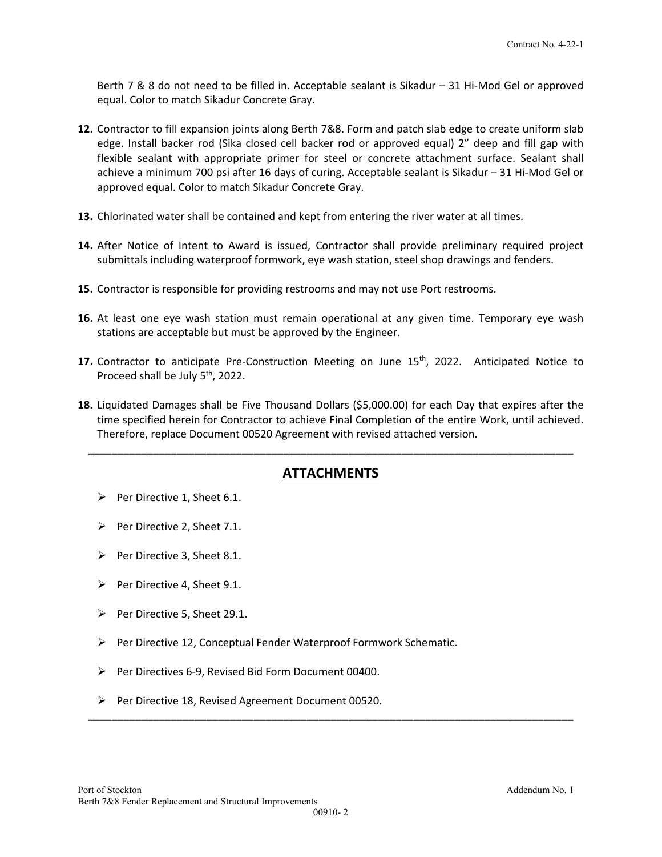Berth 7 & 8 do not need to be filled in. Acceptable sealant is Sikadur – 31 Hi‐Mod Gel or approved equal. Color to match Sikadur Concrete Gray.

- **12.** Contractor to fill expansion joints along Berth 7&8. Form and patch slab edge to create uniform slab edge. Install backer rod (Sika closed cell backer rod or approved equal) 2" deep and fill gap with flexible sealant with appropriate primer for steel or concrete attachment surface. Sealant shall achieve a minimum 700 psi after 16 days of curing. Acceptable sealant is Sikadur – 31 Hi‐Mod Gel or approved equal. Color to match Sikadur Concrete Gray.
- **13.** Chlorinated water shall be contained and kept from entering the river water at all times.
- **14.** After Notice of Intent to Award is issued, Contractor shall provide preliminary required project submittals including waterproof formwork, eye wash station, steel shop drawings and fenders.
- **15.** Contractor is responsible for providing restrooms and may not use Port restrooms.
- **16.** At least one eye wash station must remain operational at any given time. Temporary eye wash stations are acceptable but must be approved by the Engineer.
- **17.** Contractor to anticipate Pre-Construction Meeting on June 15<sup>th</sup>, 2022. Anticipated Notice to Proceed shall be July 5<sup>th</sup>, 2022.
- **18.** Liquidated Damages shall be Five Thousand Dollars (\$5,000.00) for each Day that expires after the time specified herein for Contractor to achieve Final Completion of the entire Work, until achieved. Therefore, replace Document 00520 Agreement with revised attached version.

## **ATTACHMENTS**

**\_\_\_\_\_\_\_\_\_\_\_\_\_\_\_\_\_\_\_\_\_\_\_\_\_\_\_\_\_\_\_\_\_\_\_\_\_\_\_\_\_\_\_\_\_\_\_\_\_\_\_\_\_\_\_\_\_\_\_\_\_\_\_\_\_\_\_\_\_\_\_\_\_\_\_\_\_\_\_\_\_\_**

- $\triangleright$  Per Directive 1, Sheet 6.1.
- $\triangleright$  Per Directive 2, Sheet 7.1.
- Per Directive 3, Sheet 8.1.
- Per Directive 4, Sheet 9.1.
- Per Directive 5, Sheet 29.1.
- $\triangleright$  Per Directive 12, Conceptual Fender Waterproof Formwork Schematic.
- Per Directives 6‐9, Revised Bid Form Document 00400.
- Per Directive 18, Revised Agreement Document 00520.

**\_\_\_\_\_\_\_\_\_\_\_\_\_\_\_\_\_\_\_\_\_\_\_\_\_\_\_\_\_\_\_\_\_\_\_\_\_\_\_\_\_\_\_\_\_\_\_\_\_\_\_\_\_\_\_\_\_\_\_\_\_\_\_\_\_\_\_\_\_\_\_\_\_\_\_\_\_\_\_\_\_\_**